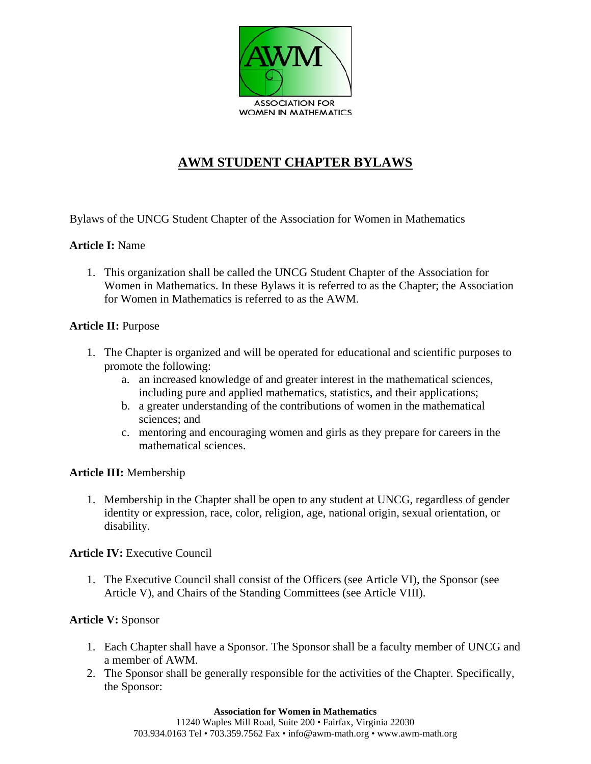

# **AWM STUDENT CHAPTER BYLAWS**

Bylaws of the UNCG Student Chapter of the Association for Women in Mathematics

### **Article I:** Name

1. This organization shall be called the UNCG Student Chapter of the Association for Women in Mathematics. In these Bylaws it is referred to as the Chapter; the Association for Women in Mathematics is referred to as the AWM.

#### **Article II:** Purpose

- 1. The Chapter is organized and will be operated for educational and scientific purposes to promote the following:
	- a. an increased knowledge of and greater interest in the mathematical sciences, including pure and applied mathematics, statistics, and their applications;
	- b. a greater understanding of the contributions of women in the mathematical sciences; and
	- c. mentoring and encouraging women and girls as they prepare for careers in the mathematical sciences.

#### **Article III:** Membership

1. Membership in the Chapter shall be open to any student at UNCG, regardless of gender identity or expression, race, color, religion, age, national origin, sexual orientation, or disability.

#### **Article IV:** Executive Council

1. The Executive Council shall consist of the Officers (see Article VI), the Sponsor (see Article V), and Chairs of the Standing Committees (see Article VIII).

#### **Article V:** Sponsor

- 1. Each Chapter shall have a Sponsor. The Sponsor shall be a faculty member of UNCG and a member of AWM.
- 2. The Sponsor shall be generally responsible for the activities of the Chapter. Specifically, the Sponsor: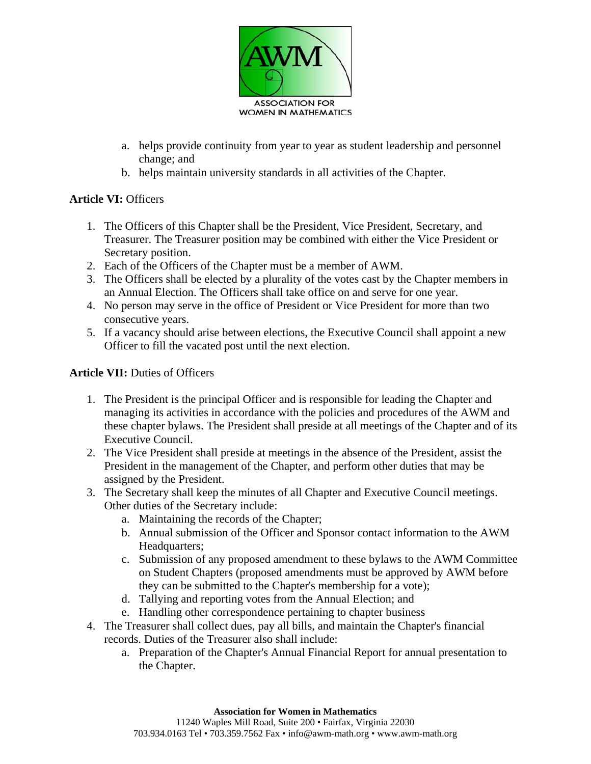

- a. helps provide continuity from year to year as student leadership and personnel change; and
- b. helps maintain university standards in all activities of the Chapter.

## **Article VI:** Officers

- 1. The Officers of this Chapter shall be the President, Vice President, Secretary, and Treasurer. The Treasurer position may be combined with either the Vice President or Secretary position.
- 2. Each of the Officers of the Chapter must be a member of AWM.
- 3. The Officers shall be elected by a plurality of the votes cast by the Chapter members in an Annual Election. The Officers shall take office on and serve for one year.
- 4. No person may serve in the office of President or Vice President for more than two consecutive years.
- 5. If a vacancy should arise between elections, the Executive Council shall appoint a new Officer to fill the vacated post until the next election.

## **Article VII:** Duties of Officers

- 1. The President is the principal Officer and is responsible for leading the Chapter and managing its activities in accordance with the policies and procedures of the AWM and these chapter bylaws. The President shall preside at all meetings of the Chapter and of its Executive Council.
- 2. The Vice President shall preside at meetings in the absence of the President, assist the President in the management of the Chapter, and perform other duties that may be assigned by the President.
- 3. The Secretary shall keep the minutes of all Chapter and Executive Council meetings. Other duties of the Secretary include:
	- a. Maintaining the records of the Chapter;
	- b. Annual submission of the Officer and Sponsor contact information to the AWM Headquarters;
	- c. Submission of any proposed amendment to these bylaws to the AWM Committee on Student Chapters (proposed amendments must be approved by AWM before they can be submitted to the Chapter's membership for a vote);
	- d. Tallying and reporting votes from the Annual Election; and
	- e. Handling other correspondence pertaining to chapter business
- 4. The Treasurer shall collect dues, pay all bills, and maintain the Chapter's financial records. Duties of the Treasurer also shall include:
	- a. Preparation of the Chapter's Annual Financial Report for annual presentation to the Chapter.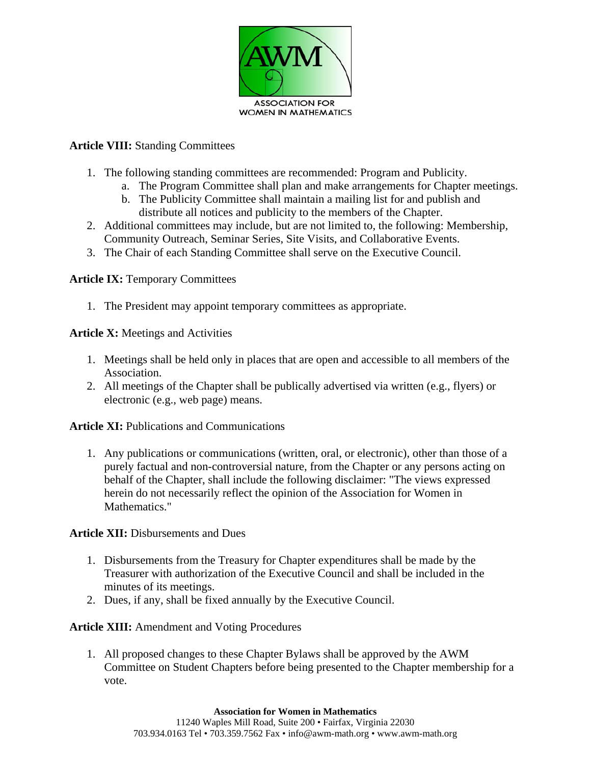

## **Article VIII:** Standing Committees

- 1. The following standing committees are recommended: Program and Publicity.
	- a. The Program Committee shall plan and make arrangements for Chapter meetings.
	- b. The Publicity Committee shall maintain a mailing list for and publish and distribute all notices and publicity to the members of the Chapter.
- 2. Additional committees may include, but are not limited to, the following: Membership, Community Outreach, Seminar Series, Site Visits, and Collaborative Events.
- 3. The Chair of each Standing Committee shall serve on the Executive Council.

#### **Article IX: Temporary Committees**

1. The President may appoint temporary committees as appropriate.

**Article X:** Meetings and Activities

- 1. Meetings shall be held only in places that are open and accessible to all members of the Association.
- 2. All meetings of the Chapter shall be publically advertised via written (e.g., flyers) or electronic (e.g., web page) means.

**Article XI:** Publications and Communications

1. Any publications or communications (written, oral, or electronic), other than those of a purely factual and non-controversial nature, from the Chapter or any persons acting on behalf of the Chapter, shall include the following disclaimer: "The views expressed herein do not necessarily reflect the opinion of the Association for Women in Mathematics."

**Article XII:** Disbursements and Dues

- 1. Disbursements from the Treasury for Chapter expenditures shall be made by the Treasurer with authorization of the Executive Council and shall be included in the minutes of its meetings.
- 2. Dues, if any, shall be fixed annually by the Executive Council.

**Article XIII:** Amendment and Voting Procedures

1. All proposed changes to these Chapter Bylaws shall be approved by the AWM Committee on Student Chapters before being presented to the Chapter membership for a vote.